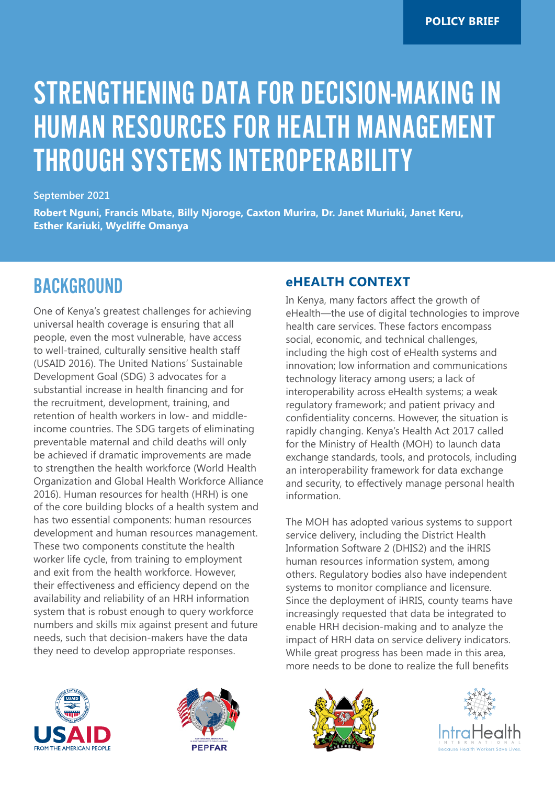# STRENGTHENING DATA FOR DECISION-MAKING IN HUMAN RESOURCES FOR HEALTH MANAGEMENT THROUGH SYSTEMS INTEROPERABILITY

#### **September 2021**

**Robert Nguni, Francis Mbate, Billy Njoroge, Caxton Murira, Dr. Janet Muriuki, Janet Keru, Esther Kariuki, Wycliffe Omanya**

### BACKGROUND

One of Kenya's greatest challenges for achieving universal health coverage is ensuring that all people, even the most vulnerable, have access to well-trained, culturally sensitive health staff (USAID 2016). The United Nations' Sustainable Development Goal (SDG) 3 advocates for a substantial increase in health financing and for the recruitment, development, training, and retention of health workers in low- and middleincome countries. The SDG targets of eliminating preventable maternal and child deaths will only be achieved if dramatic improvements are made to strengthen the health workforce (World Health Organization and Global Health Workforce Alliance 2016). Human resources for health (HRH) is one of the core building blocks of a health system and has two essential components: human resources development and human resources management. These two components constitute the health worker life cycle, from training to employment and exit from the health workforce. However, their effectiveness and efficiency depend on the availability and reliability of an HRH information system that is robust enough to query workforce numbers and skills mix against present and future needs, such that decision-makers have the data they need to develop appropriate responses.

### **eHEALTH CONTEXT**

In Kenya, many factors affect the growth of eHealth—the use of digital technologies to improve health care services. These factors encompass social, economic, and technical challenges, including the high cost of eHealth systems and innovation; low information and communications technology literacy among users; a lack of interoperability across eHealth systems; a weak regulatory framework; and patient privacy and confidentiality concerns. However, the situation is rapidly changing. Kenya's Health Act 2017 called for the Ministry of Health (MOH) to launch data exchange standards, tools, and protocols, including an interoperability framework for data exchange and security, to effectively manage personal health information.

The MOH has adopted various systems to support service delivery, including the District Health Information Software 2 (DHIS2) and the iHRIS human resources information system, among others. Regulatory bodies also have independent systems to monitor compliance and licensure. Since the deployment of iHRIS, county teams have increasingly requested that data be integrated to enable HRH decision-making and to analyze the impact of HRH data on service delivery indicators. While great progress has been made in this area, more needs to be done to realize the full benefits







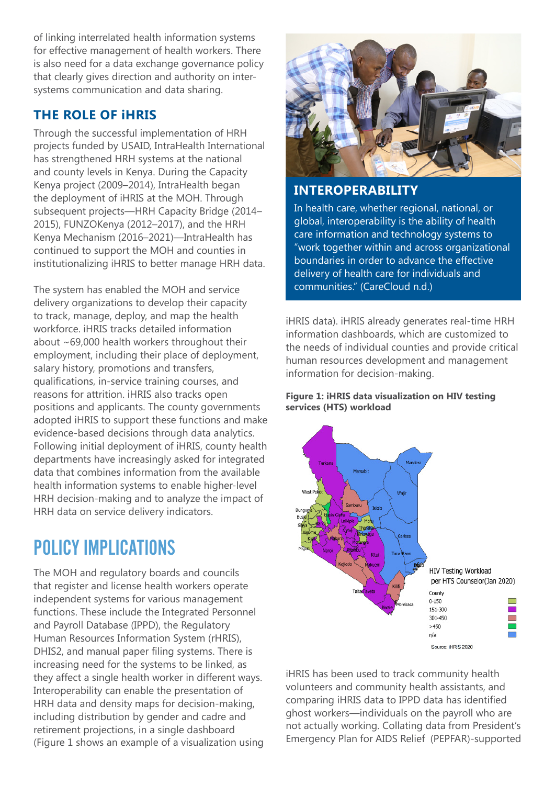of linking interrelated health information systems for effective management of health workers. There is also need for a data exchange governance policy that clearly gives direction and authority on intersystems communication and data sharing.

### **THE ROLE OF iHRIS**

Through the successful implementation of HRH projects funded by USAID, IntraHealth International has strengthened HRH systems at the national and county levels in Kenya. During the Capacity Kenya project (2009–2014), IntraHealth began the deployment of iHRIS at the MOH. Through subsequent projects—HRH Capacity Bridge (2014– 2015), FUNZOKenya (2012–2017), and the HRH Kenya Mechanism (2016–2021)—IntraHealth has continued to support the MOH and counties in institutionalizing iHRIS to better manage HRH data.

The system has enabled the MOH and service delivery organizations to develop their capacity to track, manage, deploy, and map the health workforce. iHRIS tracks detailed information about ~69,000 health workers throughout their employment, including their place of deployment, salary history, promotions and transfers, qualifications, in-service training courses, and reasons for attrition. iHRIS also tracks open positions and applicants. The county governments adopted iHRIS to support these functions and make evidence-based decisions through data analytics. Following initial deployment of iHRIS, county health departments have increasingly asked for integrated data that combines information from the available health information systems to enable higher-level HRH decision-making and to analyze the impact of HRH data on service delivery indicators.

# POLICY IMPLICATIONS

The MOH and regulatory boards and councils that register and license health workers operate independent systems for various management functions. These include the Integrated Personnel and Payroll Database (IPPD), the Regulatory Human Resources Information System (rHRIS), DHIS2, and manual paper filing systems. There is increasing need for the systems to be linked, as they affect a single health worker in different ways. Interoperability can enable the presentation of HRH data and density maps for decision-making, including distribution by gender and cadre and retirement projections, in a single dashboard (Figure 1 shows an example of a visualization using



#### **INTEROPERABILITY**

In health care, whether regional, national, or global, interoperability is the ability of health care information and technology systems to "work together within and across organizational boundaries in order to advance the effective delivery of health care for individuals and communities." (CareCloud n.d.)

iHRIS data). iHRIS already generates real-time HRH information dashboards, which are customized to the needs of individual counties and provide critical human resources development and management information for decision-making.

#### **Figure 1: iHRIS data visualization on HIV testing services (HTS) workload**



iHRIS has been used to track community health volunteers and community health assistants, and comparing iHRIS data to IPPD data has identified ghost workers—individuals on the payroll who are not actually working. Collating data from President's Emergency Plan for AIDS Relief (PEPFAR)-supported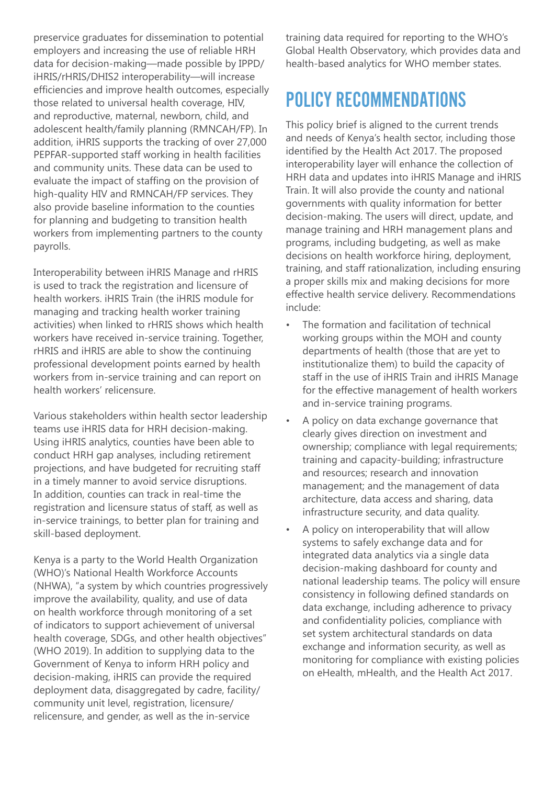preservice graduates for dissemination to potential employers and increasing the use of reliable HRH data for decision-making—made possible by IPPD/ iHRIS/rHRIS/DHIS2 interoperability—will increase efficiencies and improve health outcomes, especially those related to universal health coverage, HIV, and reproductive, maternal, newborn, child, and adolescent health/family planning (RMNCAH/FP). In addition, iHRIS supports the tracking of over 27,000 PEPFAR-supported staff working in health facilities and community units. These data can be used to evaluate the impact of staffing on the provision of high-quality HIV and RMNCAH/FP services. They also provide baseline information to the counties for planning and budgeting to transition health workers from implementing partners to the county payrolls.

Interoperability between iHRIS Manage and rHRIS is used to track the registration and licensure of health workers. iHRIS Train (the iHRIS module for managing and tracking health worker training activities) when linked to rHRIS shows which health workers have received in-service training. Together, rHRIS and iHRIS are able to show the continuing professional development points earned by health workers from in-service training and can report on health workers' relicensure.

Various stakeholders within health sector leadership teams use iHRIS data for HRH decision-making. Using iHRIS analytics, counties have been able to conduct HRH gap analyses, including retirement projections, and have budgeted for recruiting staff in a timely manner to avoid service disruptions. In addition, counties can track in real-time the registration and licensure status of staff, as well as in-service trainings, to better plan for training and skill-based deployment.

Kenya is a party to the World Health Organization (WHO)'s National Health Workforce Accounts (NHWA), "a system by which countries progressively improve the availability, quality, and use of data on health workforce through monitoring of a set of indicators to support achievement of universal health coverage, SDGs, and other health objectives" (WHO 2019). In addition to supplying data to the Government of Kenya to inform HRH policy and decision-making, iHRIS can provide the required deployment data, disaggregated by cadre, facility/ community unit level, registration, licensure/ relicensure, and gender, as well as the in-service

training data required for reporting to the WHO's Global Health Observatory, which provides data and health-based analytics for WHO member states.

# POLICY RECOMMENDATIONS

This policy brief is aligned to the current trends and needs of Kenya's health sector, including those identified by the Health Act 2017. The proposed interoperability layer will enhance the collection of HRH data and updates into iHRIS Manage and iHRIS Train. It will also provide the county and national governments with quality information for better decision-making. The users will direct, update, and manage training and HRH management plans and programs, including budgeting, as well as make decisions on health workforce hiring, deployment, training, and staff rationalization, including ensuring a proper skills mix and making decisions for more effective health service delivery. Recommendations include:

- The formation and facilitation of technical working groups within the MOH and county departments of health (those that are yet to institutionalize them) to build the capacity of staff in the use of iHRIS Train and iHRIS Manage for the effective management of health workers and in-service training programs.
- A policy on data exchange governance that clearly gives direction on investment and ownership; compliance with legal requirements; training and capacity-building; infrastructure and resources; research and innovation management; and the management of data architecture, data access and sharing, data infrastructure security, and data quality.
- A policy on interoperability that will allow systems to safely exchange data and for integrated data analytics via a single data decision-making dashboard for county and national leadership teams. The policy will ensure consistency in following defined standards on data exchange, including adherence to privacy and confidentiality policies, compliance with set system architectural standards on data exchange and information security, as well as monitoring for compliance with existing policies on eHealth, mHealth, and the Health Act 2017.